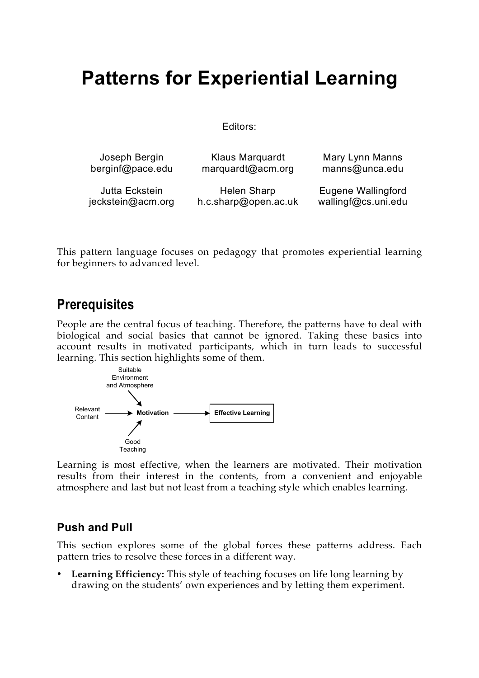# **Patterns for Experiential Learning**

Editors:

| Joseph Bergin     | Klaus Marquardt      | Mary Lynn Manns     |
|-------------------|----------------------|---------------------|
| berginf@pace.edu  | marquardt@acm.org    | manns@unca.edu      |
| Jutta Eckstein    | Helen Sharp          | Eugene Wallingford  |
| jeckstein@acm.org | h.c.sharp@open.ac.uk | wallingf@cs.uni.edu |

This pattern language focuses on pedagogy that promotes experiential learning for beginners to advanced level.

## **Prerequisites**

People are the central focus of teaching. Therefore, the patterns have to deal with biological and social basics that cannot be ignored. Taking these basics into account results in motivated participants, which in turn leads to successful learning. This section highlights some of them.



Learning is most effective, when the learners are motivated. Their motivation results from their interest in the contents, from a convenient and enjoyable atmosphere and last but not least from a teaching style which enables learning.

## **Push and Pull**

This section explores some of the global forces these patterns address. Each pattern tries to resolve these forces in a different way.

• **Learning Efficiency:** This style of teaching focuses on life long learning by drawing on the students' own experiences and by letting them experiment.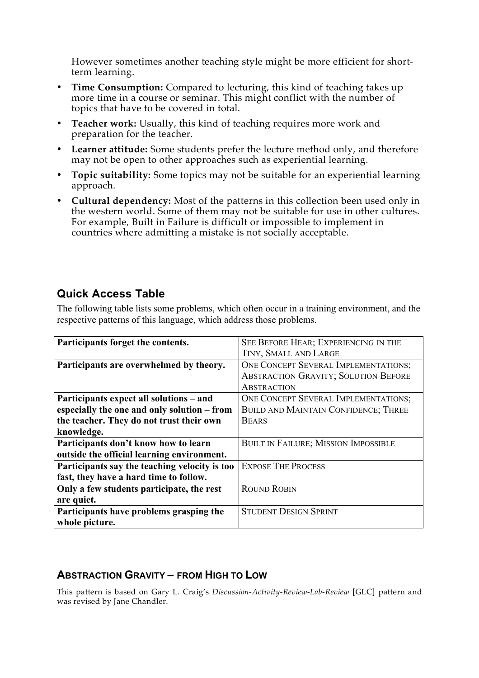However sometimes another teaching style might be more efficient for shortterm learning.

- **Time Consumption:** Compared to lecturing, this kind of teaching takes up more time in a course or seminar. This might conflict with the number of topics that have to be covered in total.
- **Teacher work:** Usually, this kind of teaching requires more work and preparation for the teacher.
- **Learner attitude:** Some students prefer the lecture method only, and therefore may not be open to other approaches such as experiential learning.
- **Topic suitability:** Some topics may not be suitable for an experiential learning approach.
- **Cultural dependency:** Most of the patterns in this collection been used only in the western world. Some of them may not be suitable for use in other cultures. For example, Built in Failure is difficult or impossible to implement in countries where admitting a mistake is not socially acceptable.

## **Quick Access Table**

The following table lists some problems, which often occur in a training environment, and the respective patterns of this language, which address those problems.

| Participants forget the contents.             | SEE BEFORE HEAR; EXPERIENCING IN THE        |
|-----------------------------------------------|---------------------------------------------|
|                                               | TINY, SMALL AND LARGE                       |
| Participants are overwhelmed by theory.       | ONE CONCEPT SEVERAL IMPLEMENTATIONS;        |
|                                               | <b>ABSTRACTION GRAVITY; SOLUTION BEFORE</b> |
|                                               | <b>ABSTRACTION</b>                          |
| Participants expect all solutions – and       | <b>ONE CONCEPT SEVERAL IMPLEMENTATIONS;</b> |
| especially the one and only solution – from   | <b>BUILD AND MAINTAIN CONFIDENCE; THREE</b> |
| the teacher. They do not trust their own      | <b>BEARS</b>                                |
| knowledge.                                    |                                             |
| Participants don't know how to learn          | <b>BUILT IN FAILURE; MISSION IMPOSSIBLE</b> |
| outside the official learning environment.    |                                             |
| Participants say the teaching velocity is too | <b>EXPOSE THE PROCESS</b>                   |
| fast, they have a hard time to follow.        |                                             |
| Only a few students participate, the rest     | <b>ROUND ROBIN</b>                          |
| are quiet.                                    |                                             |
| Participants have problems grasping the       | <b>STUDENT DESIGN SPRINT</b>                |
| whole picture.                                |                                             |
|                                               |                                             |

## **ABSTRACTION GRAVITY – FROM HIGH TO LOW**

This pattern is based on Gary L. Craig's *Discussion-Activity-Review-Lab-Review* [GLC] pattern and was revised by Jane Chandler.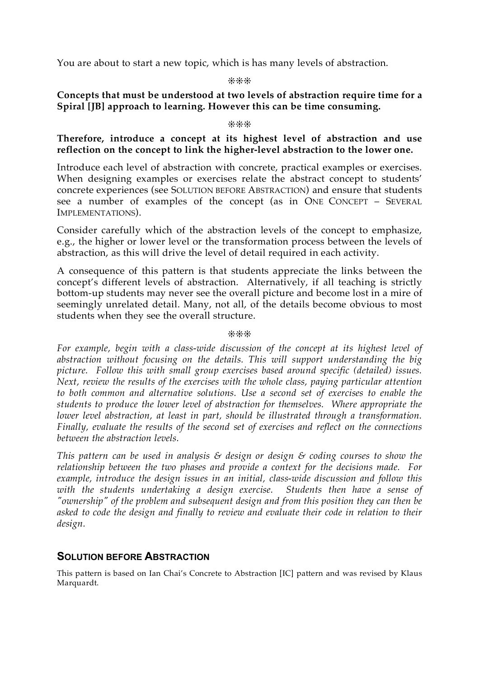You are about to start a new topic, which is has many levels of abstraction.

#### ❊❊❊

## **Concepts that must be understood at two levels of abstraction require time for a Spiral [JB] approach to learning. However this can be time consuming.**

#### ❊❊❊

## **Therefore, introduce a concept at its highest level of abstraction and use reflection on the concept to link the higher-level abstraction to the lower one.**

Introduce each level of abstraction with concrete, practical examples or exercises. When designing examples or exercises relate the abstract concept to students' concrete experiences (see SOLUTION BEFORE ABSTRACTION) and ensure that students see a number of examples of the concept (as in ONE CONCEPT – SEVERAL IMPLEMENTATIONS).

Consider carefully which of the abstraction levels of the concept to emphasize, e.g., the higher or lower level or the transformation process between the levels of abstraction, as this will drive the level of detail required in each activity.

A consequence of this pattern is that students appreciate the links between the concept's different levels of abstraction. Alternatively, if all teaching is strictly bottom-up students may never see the overall picture and become lost in a mire of seemingly unrelated detail. Many, not all, of the details become obvious to most students when they see the overall structure.

#### ❊❊❊

*For example, begin with a class-wide discussion of the concept at its highest level of abstraction without focusing on the details. This will support understanding the big picture. Follow this with small group exercises based around specific (detailed) issues. Next, review the results of the exercises with the whole class, paying particular attention to both common and alternative solutions. Use a second set of exercises to enable the students to produce the lower level of abstraction for themselves. Where appropriate the lower level abstraction, at least in part, should be illustrated through a transformation. Finally, evaluate the results of the second set of exercises and reflect on the connections between the abstraction levels.*

*This pattern can be used in analysis & design or design & coding courses to show the relationship between the two phases and provide a context for the decisions made. For example, introduce the design issues in an initial, class-wide discussion and follow this with the students undertaking a design exercise. Students then have a sense of "ownership" of the problem and subsequent design and from this position they can then be asked to code the design and finally to review and evaluate their code in relation to their design.*

## **SOLUTION BEFORE ABSTRACTION**

This pattern is based on Ian Chai's Concrete to Abstraction [IC] pattern and was revised by Klaus Marquardt.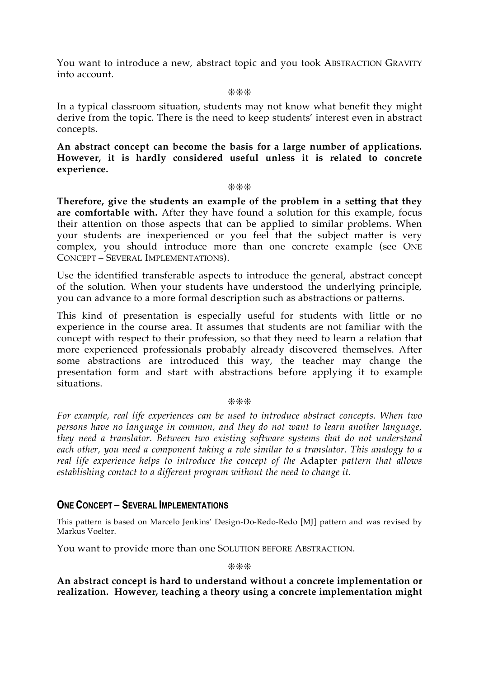You want to introduce a new, abstract topic and you took ABSTRACTION GRAVITY into account.

❊❊❊

In a typical classroom situation, students may not know what benefit they might derive from the topic. There is the need to keep students' interest even in abstract concepts.

**An abstract concept can become the basis for a large number of applications. However, it is hardly considered useful unless it is related to concrete experience.**

❊❊❊

**Therefore, give the students an example of the problem in a setting that they are comfortable with.** After they have found a solution for this example, focus their attention on those aspects that can be applied to similar problems. When your students are inexperienced or you feel that the subject matter is very complex, you should introduce more than one concrete example (see ONE CONCEPT – SEVERAL IMPLEMENTATIONS).

Use the identified transferable aspects to introduce the general, abstract concept of the solution. When your students have understood the underlying principle, you can advance to a more formal description such as abstractions or patterns.

This kind of presentation is especially useful for students with little or no experience in the course area. It assumes that students are not familiar with the concept with respect to their profession, so that they need to learn a relation that more experienced professionals probably already discovered themselves. After some abstractions are introduced this way, the teacher may change the presentation form and start with abstractions before applying it to example situations.

#### ❊❊❊

*For example, real life experiences can be used to introduce abstract concepts. When two persons have no language in common, and they do not want to learn another language, they need a translator. Between two existing software systems that do not understand each other, you need a component taking a role similar to a translator. This analogy to a real life experience helps to introduce the concept of the* Adapter *pattern that allows establishing contact to a different program without the need to change it.*

## **ONE CONCEPT – SEVERAL IMPLEMENTATIONS**

This pattern is based on Marcelo Jenkins' Design-Do-Redo-Redo [MJ] pattern and was revised by Markus Voelter.

You want to provide more than one SOLUTION BEFORE ABSTRACTION.

❊❊❊

**An abstract concept is hard to understand without a concrete implementation or realization. However, teaching a theory using a concrete implementation might**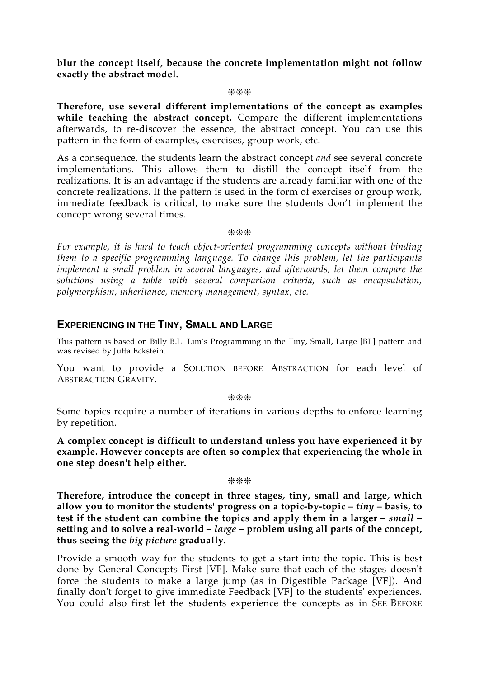**blur the concept itself, because the concrete implementation might not follow exactly the abstract model.**

#### ❊❊❊

**Therefore, use several different implementations of the concept as examples while teaching the abstract concept.** Compare the different implementations afterwards, to re-discover the essence, the abstract concept. You can use this pattern in the form of examples, exercises, group work, etc.

As a consequence, the students learn the abstract concept *and* see several concrete implementations. This allows them to distill the concept itself from the realizations. It is an advantage if the students are already familiar with one of the concrete realizations. If the pattern is used in the form of exercises or group work, immediate feedback is critical, to make sure the students don't implement the concept wrong several times.

❊❊❊

*For example, it is hard to teach object-oriented programming concepts without binding them to a specific programming language. To change this problem, let the participants implement a small problem in several languages, and afterwards, let them compare the solutions using a table with several comparison criteria, such as encapsulation, polymorphism, inheritance, memory management, syntax, etc.*

## **EXPERIENCING IN THE TINY, SMALL AND LARGE**

This pattern is based on Billy B.L. Lim's Programming in the Tiny, Small, Large [BL] pattern and was revised by Jutta Eckstein.

You want to provide a SOLUTION BEFORE ABSTRACTION for each level of ABSTRACTION GRAVITY.

❊❊❊

Some topics require a number of iterations in various depths to enforce learning by repetition.

**A complex concept is difficult to understand unless you have experienced it by example. However concepts are often so complex that experiencing the whole in one step doesn't help either.**

#### ❊❊❊

**Therefore, introduce the concept in three stages, tiny, small and large, which allow you to monitor the students' progress on a topic-by-topic –** *tiny* **– basis, to test if the student can combine the topics and apply them in a larger –** *small* **– setting and to solve a real-world –** *large* **– problem using all parts of the concept, thus seeing the** *big picture* **gradually.**

Provide a smooth way for the students to get a start into the topic. This is best done by General Concepts First [VF]. Make sure that each of the stages doesn't force the students to make a large jump (as in Digestible Package [VF]). And finally don't forget to give immediate Feedback [VF] to the students' experiences. You could also first let the students experience the concepts as in SEE BEFORE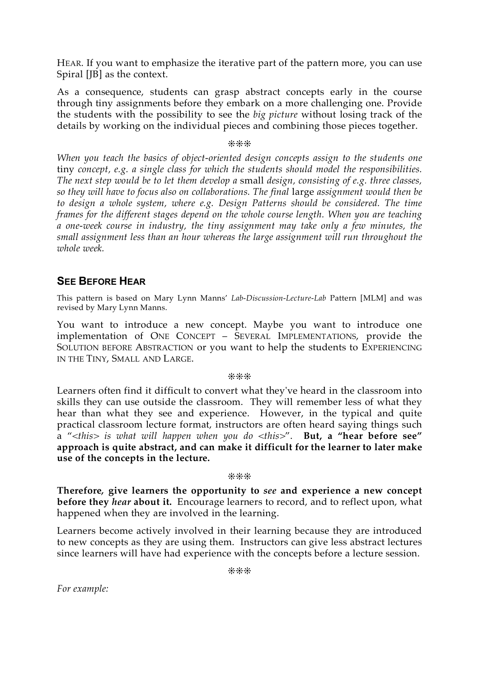HEAR. If you want to emphasize the iterative part of the pattern more, you can use Spiral [JB] as the context.

As a consequence, students can grasp abstract concepts early in the course through tiny assignments before they embark on a more challenging one. Provide the students with the possibility to see the *big picture* without losing track of the details by working on the individual pieces and combining those pieces together.

#### ❊❊❊

*When you teach the basics of object-oriented design concepts assign to the students one* tiny *concept, e.g. a single class for which the students should model the responsibilities. The next step would be to let them develop a* small *design, consisting of e.g. three classes, so they will have to focus also on collaborations. The final* large *assignment would then be to design a whole system, where e.g. Design Patterns should be considered. The time frames for the different stages depend on the whole course length. When you are teaching a one-week course in industry, the tiny assignment may take only a few minutes, the small assignment less than an hour whereas the large assignment will run throughout the whole week.*

## **SEE BEFORE HEAR**

This pattern is based on Mary Lynn Manns' *Lab-Discussion-Lecture-Lab* Pattern [MLM] and was revised by Mary Lynn Manns.

You want to introduce a new concept. Maybe you want to introduce one implementation of ONE CONCEPT – SEVERAL IMPLEMENTATIONS, provide the SOLUTION BEFORE ABSTRACTION or you want to help the students to EXPERIENCING IN THE TINY, SMALL AND LARGE.

❊❊❊

Learners often find it difficult to convert what they've heard in the classroom into skills they can use outside the classroom. They will remember less of what they hear than what they see and experience. However, in the typical and quite practical classroom lecture format, instructors are often heard saying things such a "*<this> is what will happen when you do <this>*". **But, a "hear before see" approach is quite abstract, and can make it difficult for the learner to later make use of the concepts in the lecture.**

❊❊❊

**Therefore***,* **give learners the opportunity to** *see* **and experience a new concept before they** *hear* **about it.** Encourage learners to record, and to reflect upon, what happened when they are involved in the learning.

Learners become actively involved in their learning because they are introduced to new concepts as they are using them. Instructors can give less abstract lectures since learners will have had experience with the concepts before a lecture session.

❊❊❊

*For example:*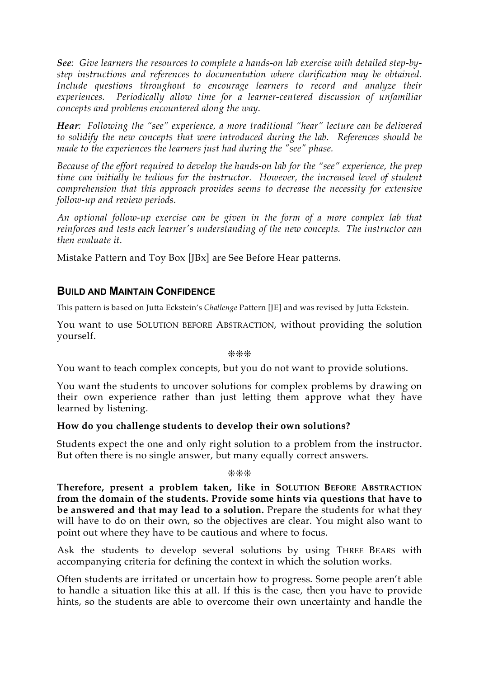*See: Give learners the resources to complete a hands-on lab exercise with detailed step-bystep instructions and references to documentation where clarification may be obtained. Include questions throughout to encourage learners to record and analyze their experiences. Periodically allow time for a learner-centered discussion of unfamiliar concepts and problems encountered along the way.*

*Hear: Following the "see" experience, a more traditional "hear" lecture can be delivered to solidify the new concepts that were introduced during the lab. References should be made to the experiences the learners just had during the "see" phase.*

*Because of the effort required to develop the hands-on lab for the "see" experience, the prep time can initially be tedious for the instructor. However, the increased level of student comprehension that this approach provides seems to decrease the necessity for extensive follow-up and review periods.*

*An optional follow-up exercise can be given in the form of a more complex lab that reinforces and tests each learner's understanding of the new concepts. The instructor can then evaluate it.*

Mistake Pattern and Toy Box [JBx] are See Before Hear patterns*.*

## **BUILD AND MAINTAIN CONFIDENCE**

This pattern is based on Jutta Eckstein's *Challenge* Pattern [JE] and was revised by Jutta Eckstein.

You want to use SOLUTION BEFORE ABSTRACTION, without providing the solution yourself.

❊❊❊

You want to teach complex concepts, but you do not want to provide solutions.

You want the students to uncover solutions for complex problems by drawing on their own experience rather than just letting them approve what they have learned by listening.

## **How do you challenge students to develop their own solutions?**

Students expect the one and only right solution to a problem from the instructor. But often there is no single answer, but many equally correct answers.

❊❊❊

**Therefore, present a problem taken, like in SOLUTION BEFORE ABSTRACTION from the domain of the students. Provide some hints via questions that have to be answered and that may lead to a solution.** Prepare the students for what they will have to do on their own, so the objectives are clear. You might also want to point out where they have to be cautious and where to focus.

Ask the students to develop several solutions by using THREE BEARS with accompanying criteria for defining the context in which the solution works.

Often students are irritated or uncertain how to progress. Some people aren't able to handle a situation like this at all. If this is the case, then you have to provide hints, so the students are able to overcome their own uncertainty and handle the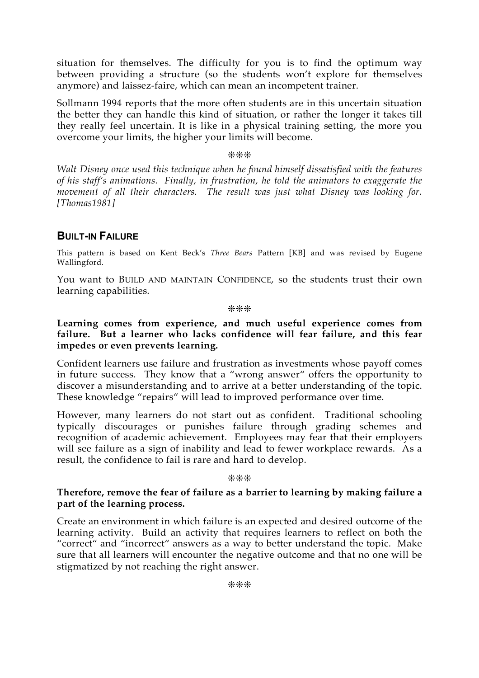situation for themselves. The difficulty for you is to find the optimum way between providing a structure (so the students won't explore for themselves anymore) and laissez-faire, which can mean an incompetent trainer.

Sollmann 1994 reports that the more often students are in this uncertain situation the better they can handle this kind of situation, or rather the longer it takes till they really feel uncertain. It is like in a physical training setting, the more you overcome your limits, the higher your limits will become.

#### ❊❊❊

*Walt Disney once used this technique when he found himself dissatisfied with the features of his staff's animations. Finally, in frustration, he told the animators to exaggerate the movement of all their characters. The result was just what Disney was looking for. [Thomas1981]*

## **BUILT-IN FAILURE**

This pattern is based on Kent Beck's *Three Bears* Pattern [KB] and was revised by Eugene Wallingford.

You want to BUILD AND MAINTAIN CONFIDENCE, so the students trust their own learning capabilities.

#### ❊❊❊

**Learning comes from experience, and much useful experience comes from failure. But a learner who lacks confidence will fear failure, and this fear impedes or even prevents learning.**

Confident learners use failure and frustration as investments whose payoff comes in future success. They know that a "wrong answer" offers the opportunity to discover a misunderstanding and to arrive at a better understanding of the topic. These knowledge "repairs" will lead to improved performance over time.

However, many learners do not start out as confident. Traditional schooling typically discourages or punishes failure through grading schemes and recognition of academic achievement. Employees may fear that their employers will see failure as a sign of inability and lead to fewer workplace rewards. As a result, the confidence to fail is rare and hard to develop.

#### ❊❊❊

#### **Therefore, remove the fear of failure as a barrier to learning by making failure a part of the learning process.**

Create an environment in which failure is an expected and desired outcome of the learning activity. Build an activity that requires learners to reflect on both the "correct" and "incorrect" answers as a way to better understand the topic. Make sure that all learners will encounter the negative outcome and that no one will be stigmatized by not reaching the right answer.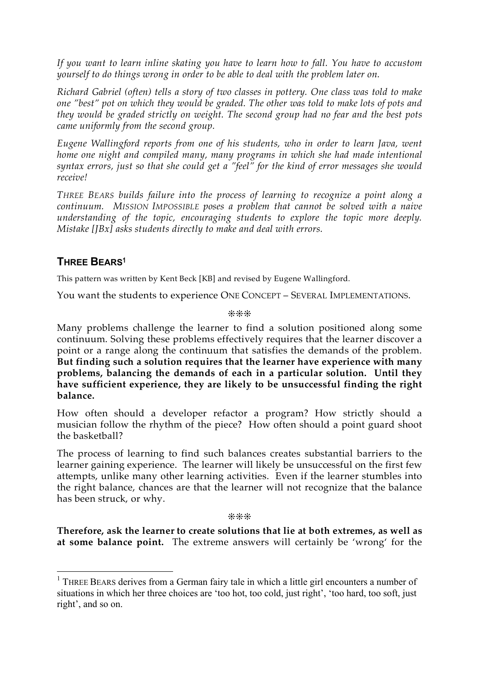*If you want to learn inline skating you have to learn how to fall. You have to accustom yourself to do things wrong in order to be able to deal with the problem later on.*

*Richard Gabriel (often) tells a story of two classes in pottery. One class was told to make one "best" pot on which they would be graded. The other was told to make lots of pots and they would be graded strictly on weight. The second group had no fear and the best pots came uniformly from the second group.*

*Eugene Wallingford reports from one of his students, who in order to learn Java, went home one night and compiled many, many programs in which she had made intentional syntax errors, just so that she could get a "feel" for the kind of error messages she would receive!*

*THREE BEARS builds failure into the process of learning to recognize a point along a continuum. MISSION IMPOSSIBLE poses a problem that cannot be solved with a naive understanding of the topic, encouraging students to explore the topic more deeply. Mistake [JBx] asks students directly to make and deal with errors.*

## **THREE BEARS<sup>1</sup>**

This pattern was written by Kent Beck [KB] and revised by Eugene Wallingford.

You want the students to experience ONE CONCEPT – SEVERAL IMPLEMENTATIONS.

❊❊❊

Many problems challenge the learner to find a solution positioned along some continuum. Solving these problems effectively requires that the learner discover a point or a range along the continuum that satisfies the demands of the problem. **But finding such a solution requires that the learner have experience with many problems, balancing the demands of each in a particular solution. Until they have sufficient experience, they are likely to be unsuccessful finding the right balance.**

How often should a developer refactor a program? How strictly should a musician follow the rhythm of the piece? How often should a point guard shoot the basketball?

The process of learning to find such balances creates substantial barriers to the learner gaining experience. The learner will likely be unsuccessful on the first few attempts, unlike many other learning activities. Even if the learner stumbles into the right balance, chances are that the learner will not recognize that the balance has been struck, or why.

❊❊❊

**Therefore, ask the learner to create solutions that lie at both extremes, as well as at some balance point.** The extreme answers will certainly be 'wrong' for the

<sup>&</sup>lt;sup>1</sup> THREE BEARS derives from a German fairy tale in which a little girl encounters a number of situations in which her three choices are 'too hot, too cold, just right', 'too hard, too soft, just right', and so on.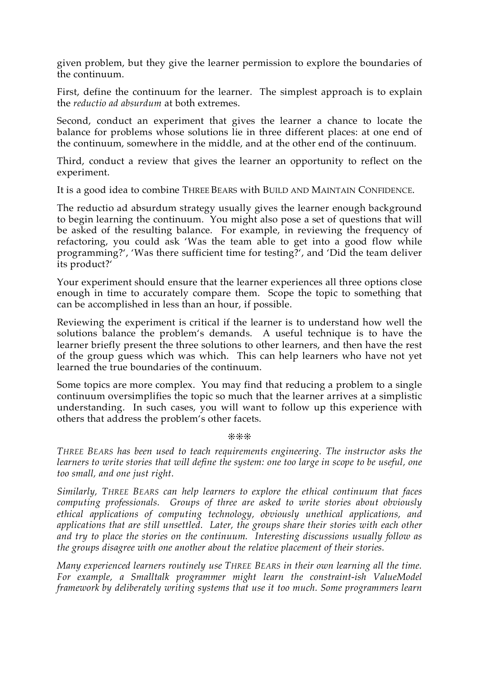given problem, but they give the learner permission to explore the boundaries of the continuum.

First, define the continuum for the learner. The simplest approach is to explain the *reductio ad absurdum* at both extremes.

Second, conduct an experiment that gives the learner a chance to locate the balance for problems whose solutions lie in three different places: at one end of the continuum, somewhere in the middle, and at the other end of the continuum.

Third, conduct a review that gives the learner an opportunity to reflect on the experiment.

It is a good idea to combine THREE BEARS with BUILD AND MAINTAIN CONFIDENCE.

The reductio ad absurdum strategy usually gives the learner enough background to begin learning the continuum. You might also pose a set of questions that will be asked of the resulting balance. For example, in reviewing the frequency of refactoring, you could ask 'Was the team able to get into a good flow while programming?', 'Was there sufficient time for testing?', and 'Did the team deliver its product?'

Your experiment should ensure that the learner experiences all three options close enough in time to accurately compare them. Scope the topic to something that can be accomplished in less than an hour, if possible.

Reviewing the experiment is critical if the learner is to understand how well the solutions balance the problem's demands. A useful technique is to have the learner briefly present the three solutions to other learners, and then have the rest of the group guess which was which. This can help learners who have not yet learned the true boundaries of the continuum.

Some topics are more complex. You may find that reducing a problem to a single continuum oversimplifies the topic so much that the learner arrives at a simplistic understanding. In such cases, you will want to follow up this experience with others that address the problem's other facets.

❊❊❊

*THREE BEARS has been used to teach requirements engineering. The instructor asks the learners to write stories that will define the system: one too large in scope to be useful, one too small, and one just right.*

*Similarly, THREE BEARS can help learners to explore the ethical continuum that faces computing professionals. Groups of three are asked to write stories about obviously ethical applications of computing technology, obviously unethical applications, and applications that are still unsettled. Later, the groups share their stories with each other and try to place the stories on the continuum. Interesting discussions usually follow as the groups disagree with one another about the relative placement of their stories.*

*Many experienced learners routinely use THREE BEARS in their own learning all the time. For example, a Smalltalk programmer might learn the constraint-ish ValueModel framework by deliberately writing systems that use it too much. Some programmers learn*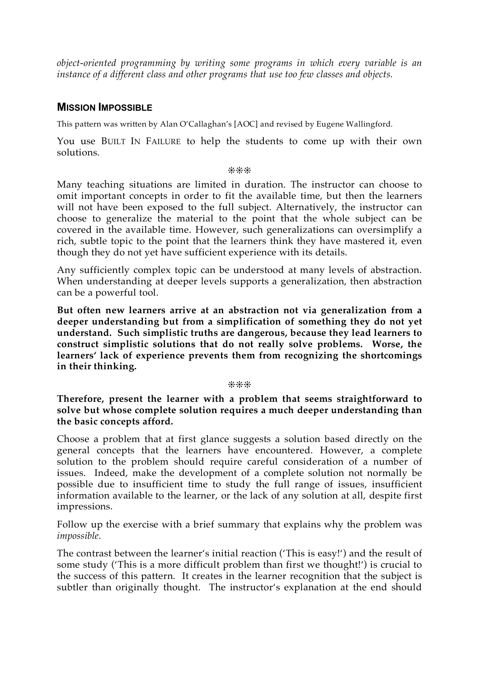*object-oriented programming by writing some programs in which every variable is an instance of a different class and other programs that use too few classes and objects.*

## **MISSION IMPOSSIBLE**

This pattern was written by Alan O'Callaghan's [AOC] and revised by Eugene Wallingford.

You use BUILT IN FAILURE to help the students to come up with their own solutions.

#### ❊❊❊

Many teaching situations are limited in duration. The instructor can choose to omit important concepts in order to fit the available time, but then the learners will not have been exposed to the full subject. Alternatively, the instructor can choose to generalize the material to the point that the whole subject can be covered in the available time. However, such generalizations can oversimplify a rich, subtle topic to the point that the learners think they have mastered it, even though they do not yet have sufficient experience with its details.

Any sufficiently complex topic can be understood at many levels of abstraction. When understanding at deeper levels supports a generalization, then abstraction can be a powerful tool.

**But often new learners arrive at an abstraction not via generalization from a deeper understanding but from a simplification of something they do not yet understand. Such simplistic truths are dangerous, because they lead learners to construct simplistic solutions that do not really solve problems. Worse, the learners' lack of experience prevents them from recognizing the shortcomings in their thinking.**

❊❊❊

**Therefore, present the learner with a problem that seems straightforward to solve but whose complete solution requires a much deeper understanding than the basic concepts afford.**

Choose a problem that at first glance suggests a solution based directly on the general concepts that the learners have encountered. However, a complete solution to the problem should require careful consideration of a number of issues. Indeed, make the development of a complete solution not normally be possible due to insufficient time to study the full range of issues, insufficient information available to the learner, or the lack of any solution at all, despite first impressions.

Follow up the exercise with a brief summary that explains why the problem was *impossible*.

The contrast between the learner's initial reaction ('This is easy!') and the result of some study ('This is a more difficult problem than first we thought!') is crucial to the success of this pattern. It creates in the learner recognition that the subject is subtler than originally thought. The instructor's explanation at the end should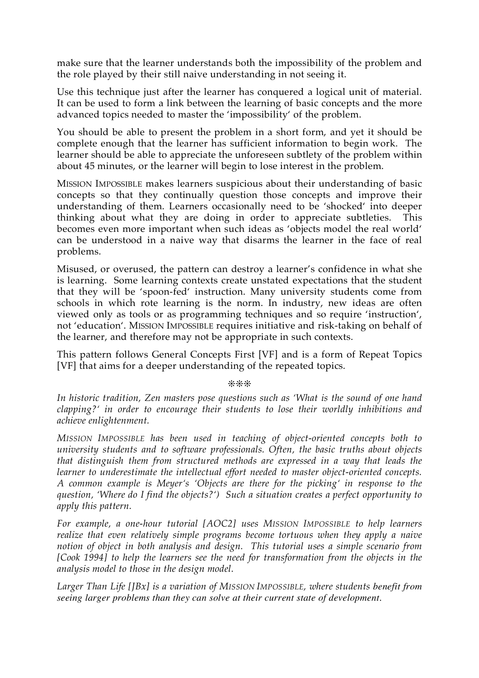make sure that the learner understands both the impossibility of the problem and the role played by their still naive understanding in not seeing it.

Use this technique just after the learner has conquered a logical unit of material. It can be used to form a link between the learning of basic concepts and the more advanced topics needed to master the 'impossibility' of the problem.

You should be able to present the problem in a short form, and yet it should be complete enough that the learner has sufficient information to begin work. The learner should be able to appreciate the unforeseen subtlety of the problem within about 45 minutes, or the learner will begin to lose interest in the problem.

MISSION IMPOSSIBLE makes learners suspicious about their understanding of basic concepts so that they continually question those concepts and improve their understanding of them. Learners occasionally need to be 'shocked' into deeper thinking about what they are doing in order to appreciate subtleties. This becomes even more important when such ideas as 'objects model the real world' can be understood in a naive way that disarms the learner in the face of real problems.

Misused, or overused, the pattern can destroy a learner's confidence in what she is learning. Some learning contexts create unstated expectations that the student that they will be 'spoon-fed' instruction. Many university students come from schools in which rote learning is the norm. In industry, new ideas are often viewed only as tools or as programming techniques and so require 'instruction', not 'education'. MISSION IMPOSSIBLE requires initiative and risk-taking on behalf of the learner, and therefore may not be appropriate in such contexts.

This pattern follows General Concepts First [VF] and is a form of Repeat Topics [VF] that aims for a deeper understanding of the repeated topics.

❊❊❊

*In historic tradition, Zen masters pose questions such as 'What is the sound of one hand clapping?' in order to encourage their students to lose their worldly inhibitions and achieve enlightenment.*

*MISSION IMPOSSIBLE has been used in teaching of object-oriented concepts both to university students and to software professionals. Often, the basic truths about objects that distinguish them from structured methods are expressed in a way that leads the learner to underestimate the intellectual effort needed to master object-oriented concepts. A common example is Meyer's 'Objects are there for the picking' in response to the question, 'Where do I find the objects?') Such a situation creates a perfect opportunity to apply this pattern.*

*For example, a one-hour tutorial [AOC2] uses MISSION IMPOSSIBLE to help learners realize that even relatively simple programs become tortuous when they apply a naive notion of object in both analysis and design. This tutorial uses a simple scenario from [Cook 1994] to help the learners see the need for transformation from the objects in the analysis model to those in the design model.*

*Larger Than Life [JBx] is a variation of MISSION IMPOSSIBLE, where students benefit from seeing larger problems than they can solve at their current state of development.*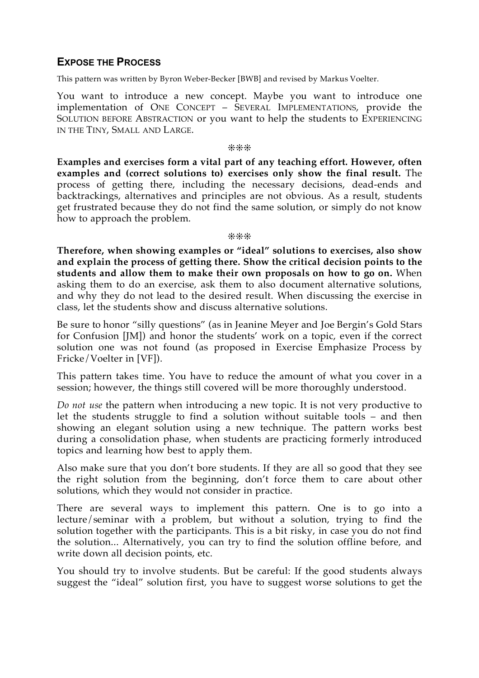## **EXPOSE THE PROCESS**

This pattern was written by Byron Weber-Becker [BWB] and revised by Markus Voelter.

You want to introduce a new concept. Maybe you want to introduce one implementation of ONE CONCEPT – SEVERAL IMPLEMENTATIONS, provide the SOLUTION BEFORE ABSTRACTION or you want to help the students to EXPERIENCING IN THE TINY, SMALL AND LARGE.

❊❊❊

**Examples and exercises form a vital part of any teaching effort. However, often examples and (correct solutions to) exercises only show the final result.** The process of getting there, including the necessary decisions, dead-ends and backtrackings, alternatives and principles are not obvious. As a result, students get frustrated because they do not find the same solution, or simply do not know how to approach the problem.

#### ❊❊❊

**Therefore, when showing examples or "ideal" solutions to exercises, also show and explain the process of getting there. Show the critical decision points to the students and allow them to make their own proposals on how to go on.** When asking them to do an exercise, ask them to also document alternative solutions, and why they do not lead to the desired result. When discussing the exercise in class, let the students show and discuss alternative solutions.

Be sure to honor "silly questions" (as in Jeanine Meyer and Joe Bergin's Gold Stars for Confusion [JM]) and honor the students' work on a topic, even if the correct solution one was not found (as proposed in Exercise Emphasize Process by Fricke/Voelter in [VF]).

This pattern takes time. You have to reduce the amount of what you cover in a session; however, the things still covered will be more thoroughly understood.

*Do not use* the pattern when introducing a new topic. It is not very productive to let the students struggle to find a solution without suitable tools – and then showing an elegant solution using a new technique. The pattern works best during a consolidation phase, when students are practicing formerly introduced topics and learning how best to apply them.

Also make sure that you don't bore students. If they are all so good that they see the right solution from the beginning, don't force them to care about other solutions, which they would not consider in practice.

There are several ways to implement this pattern. One is to go into a lecture/seminar with a problem, but without a solution, trying to find the solution together with the participants. This is a bit risky, in case you do not find the solution... Alternatively, you can try to find the solution offline before, and write down all decision points, etc.

You should try to involve students. But be careful: If the good students always suggest the "ideal" solution first, you have to suggest worse solutions to get the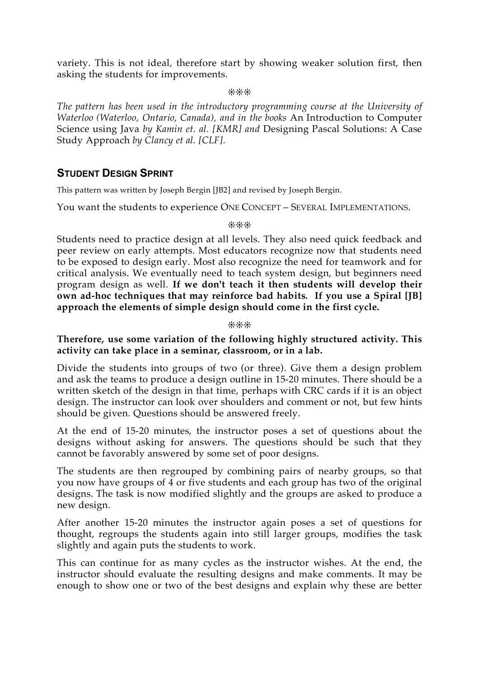variety. This is not ideal, therefore start by showing weaker solution first, then asking the students for improvements.

❊❊❊

*The pattern has been used in the introductory programming course at the University of Waterloo (Waterloo, Ontario, Canada), and in the books* An Introduction to Computer Science using Java *by Kamin et. al. [KMR] and* Designing Pascal Solutions: A Case Study Approach *by Clancy et al. [CLF].*

## **STUDENT DESIGN SPRINT**

This pattern was written by Joseph Bergin [JB2] and revised by Joseph Bergin.

You want the students to experience ONE CONCEPT – SEVERAL IMPLEMENTATIONS.

❊❊❊

Students need to practice design at all levels. They also need quick feedback and peer review on early attempts. Most educators recognize now that students need to be exposed to design early. Most also recognize the need for teamwork and for critical analysis. We eventually need to teach system design, but beginners need program design as well. **If we don't teach it then students will develop their own ad-hoc techniques that may reinforce bad habits. If you use a Spiral [JB] approach the elements of simple design should come in the first cycle.**

❊❊❊

## **Therefore, use some variation of the following highly structured activity. This activity can take place in a seminar, classroom, or in a lab.**

Divide the students into groups of two (or three). Give them a design problem and ask the teams to produce a design outline in 15-20 minutes. There should be a written sketch of the design in that time, perhaps with CRC cards if it is an object design. The instructor can look over shoulders and comment or not, but few hints should be given. Questions should be answered freely.

At the end of 15-20 minutes, the instructor poses a set of questions about the designs without asking for answers. The questions should be such that they cannot be favorably answered by some set of poor designs.

The students are then regrouped by combining pairs of nearby groups, so that you now have groups of  $\overline{4}$  or five students and each group has two of the original designs. The task is now modified slightly and the groups are asked to produce a new design.

After another 15-20 minutes the instructor again poses a set of questions for thought, regroups the students again into still larger groups, modifies the task slightly and again puts the students to work.

This can continue for as many cycles as the instructor wishes. At the end, the instructor should evaluate the resulting designs and make comments. It may be enough to show one or two of the best designs and explain why these are better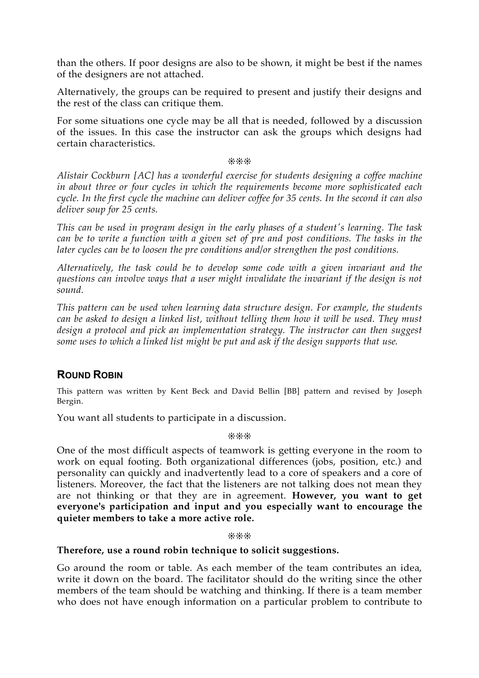than the others. If poor designs are also to be shown, it might be best if the names of the designers are not attached.

Alternatively, the groups can be required to present and justify their designs and the rest of the class can critique them.

For some situations one cycle may be all that is needed, followed by a discussion of the issues. In this case the instructor can ask the groups which designs had certain characteristics.

❊❊❊

*Alistair Cockburn [AC] has a wonderful exercise for students designing a coffee machine in about three or four cycles in which the requirements become more sophisticated each* cycle. In the first cycle the machine can deliver coffee for 35 cents. In the second it can also *deliver soup for 25 cents.*

*This can be used in program design in the early phases of a student's learning. The task can be to write a function with a given set of pre and post conditions. The tasks in the later cycles can be to loosen the pre conditions and/or strengthen the post conditions.*

*Alternatively, the task could be to develop some code with a given invariant and the questions can involve ways that a user might invalidate the invariant if the design is not sound.*

*This pattern can be used when learning data structure design. For example, the students can be asked to design a linked list, without telling them how it will be used. They must design a protocol and pick an implementation strategy. The instructor can then suggest some uses to which a linked list might be put and ask if the design supports that use.*

## **ROUND ROBIN**

This pattern was written by Kent Beck and David Bellin [BB] pattern and revised by Joseph Bergin.

You want all students to participate in a discussion.

❊❊❊

One of the most difficult aspects of teamwork is getting everyone in the room to work on equal footing. Both organizational differences (jobs, position, etc.) and personality can quickly and inadvertently lead to a core of speakers and a core of listeners. Moreover, the fact that the listeners are not talking does not mean they are not thinking or that they are in agreement. **However, you want to get everyone's participation and input and you especially want to encourage the quieter members to take a more active role.**

❊❊❊

## **Therefore, use a round robin technique to solicit suggestions.**

Go around the room or table. As each member of the team contributes an idea, write it down on the board. The facilitator should do the writing since the other members of the team should be watching and thinking. If there is a team member who does not have enough information on a particular problem to contribute to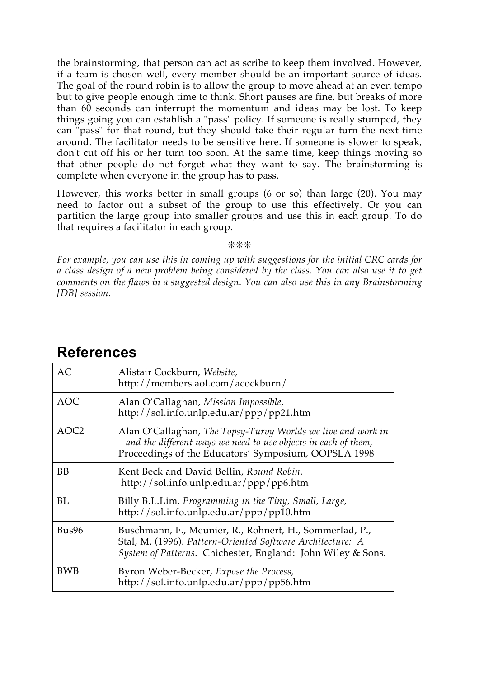the brainstorming, that person can act as scribe to keep them involved. However, if a team is chosen well, every member should be an important source of ideas. The goal of the round robin is to allow the group to move ahead at an even tempo but to give people enough time to think. Short pauses are fine, but breaks of more than 60 seconds can interrupt the momentum and ideas may be lost. To keep things going you can establish a "pass" policy. If someone is really stumped, they can "pass" for that round, but they should take their regular turn the next time around. The facilitator needs to be sensitive here. If someone is slower to speak, don't cut off his or her turn too soon. At the same time, keep things moving so that other people do not forget what they want to say. The brainstorming is complete when everyone in the group has to pass.

However, this works better in small groups (6 or so) than large (20). You may need to factor out a subset of the group to use this effectively. Or you can partition the large group into smaller groups and use this in each group. To do that requires a facilitator in each group.

❊❊❊

*For example, you can use this in coming up with suggestions for the initial CRC cards for a class design of a new problem being considered by the class. You can also use it to get comments on the flaws in a suggested design. You can also use this in any Brainstorming [DB] session.*

| AC               | Alistair Cockburn, Website,<br>http://members.aol.com/acockburn/                                                                                                                         |
|------------------|------------------------------------------------------------------------------------------------------------------------------------------------------------------------------------------|
| <b>AOC</b>       | Alan O'Callaghan, Mission Impossible,<br>http://sol.info.unlp.edu.ar/ppp/pp21.htm                                                                                                        |
| AOC <sub>2</sub> | Alan O'Callaghan, The Topsy-Turvy Worlds we live and work in<br>- and the different ways we need to use objects in each of them,<br>Proceedings of the Educators' Symposium, OOPSLA 1998 |
| <b>BB</b>        | Kent Beck and David Bellin, Round Robin,<br>http://sol.info.unlp.edu.ar/ppp/pp6.htm                                                                                                      |
| BL               | Billy B.L.Lim, Programming in the Tiny, Small, Large,<br>http://sol.info.unlp.edu.ar/ppp/pp10.htm                                                                                        |
| Bus96            | Buschmann, F., Meunier, R., Rohnert, H., Sommerlad, P.,<br>Stal, M. (1996). Pattern-Oriented Software Architecture: A<br>System of Patterns. Chichester, England: John Wiley & Sons.     |
| <b>BWB</b>       | Byron Weber-Becker, Expose the Process,<br>http://sol.info.unlp.edu.ar/ppp/pp56.htm                                                                                                      |

## **References**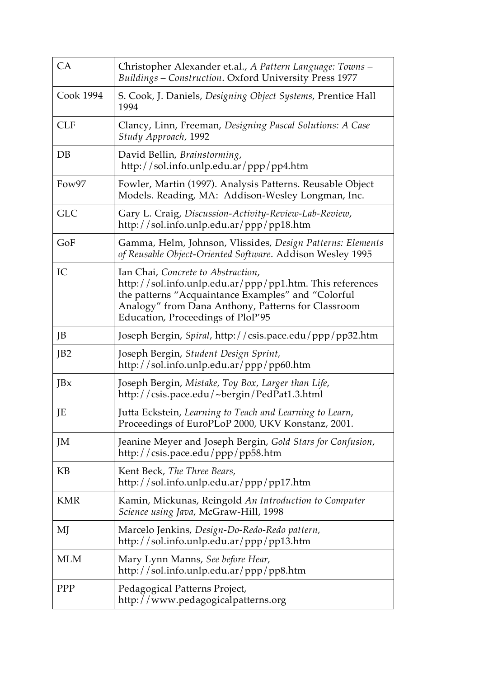| CA              | Christopher Alexander et.al., A Pattern Language: Towns -<br>Buildings - Construction. Oxford University Press 1977                                                                                                                             |
|-----------------|-------------------------------------------------------------------------------------------------------------------------------------------------------------------------------------------------------------------------------------------------|
| Cook 1994       | S. Cook, J. Daniels, Designing Object Systems, Prentice Hall<br>1994                                                                                                                                                                            |
| <b>CLF</b>      | Clancy, Linn, Freeman, Designing Pascal Solutions: A Case<br>Study Approach, 1992                                                                                                                                                               |
| DB              | David Bellin, Brainstorming,<br>http://sol.info.unlp.edu.ar/ppp/pp4.htm                                                                                                                                                                         |
| Fow97           | Fowler, Martin (1997). Analysis Patterns. Reusable Object<br>Models. Reading, MA: Addison-Wesley Longman, Inc.                                                                                                                                  |
| <b>GLC</b>      | Gary L. Craig, Discussion-Activity-Review-Lab-Review,<br>http://sol.info.unlp.edu.ar/ppp/pp18.htm                                                                                                                                               |
| GoF             | Gamma, Helm, Johnson, Vlissides, Design Patterns: Elements<br>of Reusable Object-Oriented Software. Addison Wesley 1995                                                                                                                         |
| IC              | Ian Chai, Concrete to Abstraction,<br>http://sol.info.unlp.edu.ar/ppp/pp1.htm. This references<br>the patterns "Acquaintance Examples" and "Colorful<br>Analogy" from Dana Anthony, Patterns for Classroom<br>Education, Proceedings of PloP'95 |
| JB              | Joseph Bergin, Spiral, http://csis.pace.edu/ppp/pp32.htm                                                                                                                                                                                        |
| JB <sub>2</sub> | Joseph Bergin, Student Design Sprint,<br>http://sol.info.unlp.edu.ar/ppp/pp60.htm                                                                                                                                                               |
| JBx             | Joseph Bergin, Mistake, Toy Box, Larger than Life,<br>http://csis.pace.edu/~bergin/PedPat1.3.html                                                                                                                                               |
| JE              | Jutta Eckstein, Learning to Teach and Learning to Learn,<br>Proceedings of EuroPLoP 2000, UKV Konstanz, 2001.                                                                                                                                   |
| JM              | Jeanine Meyer and Joseph Bergin, Gold Stars for Confusion,<br>http://csis.pace.edu/ppp/pp58.htm                                                                                                                                                 |
| KB              | Kent Beck, The Three Bears,<br>http://sol.info.unlp.edu.ar/ppp/pp17.htm                                                                                                                                                                         |
| <b>KMR</b>      | Kamin, Mickunas, Reingold An Introduction to Computer<br>Science using Java, McGraw-Hill, 1998                                                                                                                                                  |
| MJ              | Marcelo Jenkins, Design-Do-Redo-Redo pattern,<br>http://sol.info.unlp.edu.ar/ppp/pp13.htm                                                                                                                                                       |
| <b>MLM</b>      | Mary Lynn Manns, See before Hear,<br>http://sol.info.unlp.edu.ar/ppp/pp8.htm                                                                                                                                                                    |
| PPP             | Pedagogical Patterns Project,<br>http://www.pedagogicalpatterns.org                                                                                                                                                                             |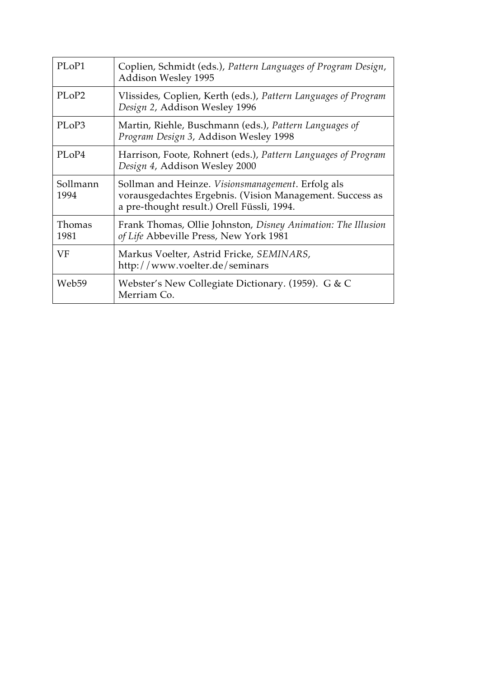| PL <sub>o</sub> P1             | Coplien, Schmidt (eds.), Pattern Languages of Program Design,<br><b>Addison Wesley 1995</b>                                                                         |
|--------------------------------|---------------------------------------------------------------------------------------------------------------------------------------------------------------------|
| PLoP <sub>2</sub>              | Vlissides, Coplien, Kerth (eds.), Pattern Languages of Program<br>Design 2, Addison Wesley 1996                                                                     |
| PL <sub>o</sub> P <sub>3</sub> | Martin, Riehle, Buschmann (eds.), Pattern Languages of<br>Program Design 3, Addison Wesley 1998                                                                     |
| PLoP4                          | Harrison, Foote, Rohnert (eds.), Pattern Languages of Program<br>Design 4, Addison Wesley 2000                                                                      |
| Sollmann<br>1994               | Sollman and Heinze. <i>Visionsmanagement</i> . Erfolg als<br>vorausgedachtes Ergebnis. (Vision Management. Success as<br>a pre-thought result.) Orell Füssli, 1994. |
| Thomas<br>1981                 | Frank Thomas, Ollie Johnston, Disney Animation: The Illusion<br>of Life Abbeville Press, New York 1981                                                              |
| VF                             | Markus Voelter, Astrid Fricke, SEMINARS,<br>http://www.voelter.de/seminars                                                                                          |
| Web59                          | Webster's New Collegiate Dictionary. (1959). G & C<br>Merriam Co.                                                                                                   |